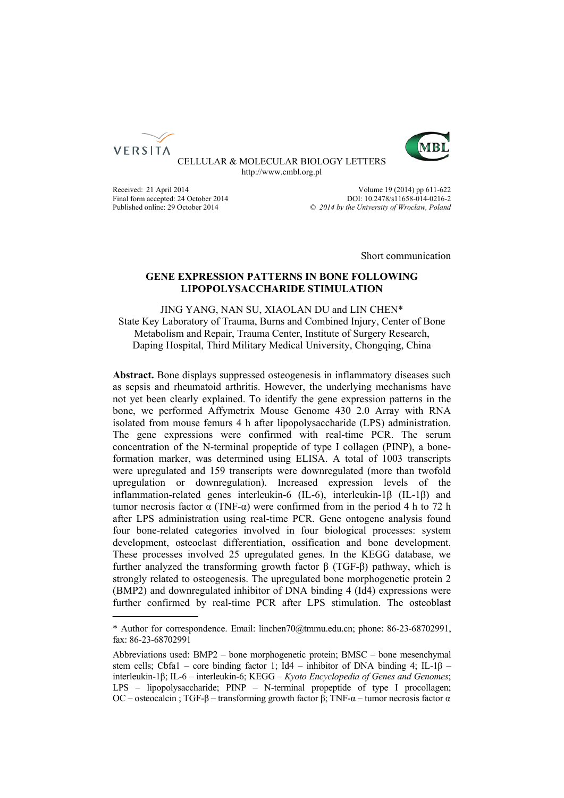



CELLULAR & MOLECULAR BIOLOGY LETTERS http://www.cmbl.org.pl

Received: 21 April 2014 Volume 19 (2014) pp 611-622 Final form accepted: 24 October 2014<br>
Published online: 29 October 2014 **DOI: 10.2478/s11658-014-0216-2**<br>
© 2014 by the University of Wroclaw. Poland Published online: 29 October 2014 *© 2014 by the University of Wrocław, Poland*

Short communication

## **GENE EXPRESSION PATTERNS IN BONE FOLLOWING LIPOPOLYSACCHARIDE STIMULATION**

JING YANG, NAN SU, XIAOLAN DU and LIN CHEN\* State Key Laboratory of Trauma, Burns and Combined Injury, Center of Bone Metabolism and Repair, Trauma Center, Institute of Surgery Research, Daping Hospital, Third Military Medical University, Chongqing, China

**Abstract.** Bone displays suppressed osteogenesis in inflammatory diseases such as sepsis and rheumatoid arthritis. However, the underlying mechanisms have not yet been clearly explained. To identify the gene expression patterns in the bone, we performed Affymetrix Mouse Genome 430 2.0 Array with RNA isolated from mouse femurs 4 h after lipopolysaccharide (LPS) administration. The gene expressions were confirmed with real-time PCR. The serum concentration of the N-terminal propeptide of type I collagen (PINP), a boneformation marker, was determined using ELISA. A total of 1003 transcripts were upregulated and 159 transcripts were downregulated (more than twofold upregulation or downregulation). Increased expression levels of the inflammation-related genes interleukin-6 (IL-6), interleukin-1β (IL-1β) and tumor necrosis factor α (TNF-α) were confirmed from in the period 4 h to 72 h after LPS administration using real-time PCR. Gene ontogene analysis found four bone-related categories involved in four biological processes: system development, osteoclast differentiation, ossification and bone development. These processes involved 25 upregulated genes. In the KEGG database, we further analyzed the transforming growth factor β (TGF-β) pathway, which is strongly related to osteogenesis. The upregulated bone morphogenetic protein 2 (BMP2) and downregulated inhibitor of DNA binding 4 (Id4) expressions were further confirmed by real-time PCR after LPS stimulation. The osteoblast

<sup>\*</sup> Author for correspondence. Email: linchen70@tmmu.edu.cn; phone: 86-23-68702991, fax: 86-23-68702991

Abbreviations used: BMP2 – bone morphogenetic protein; BMSC – bone mesenchymal stem cells; Cbfa1 – core binding factor 1; Id4 – inhibitor of DNA binding 4; IL-1 $\beta$  – interleukin-1β; IL-6 – interleukin-6; KEGG – *Kyoto Encyclopedia of Genes and Genomes*; LPS – lipopolysaccharide; PINP – N-terminal propeptide of type I procollagen; OC – osteocalcin ; TGF-β – transforming growth factor β; TNF- $\alpha$  – tumor necrosis factor  $\alpha$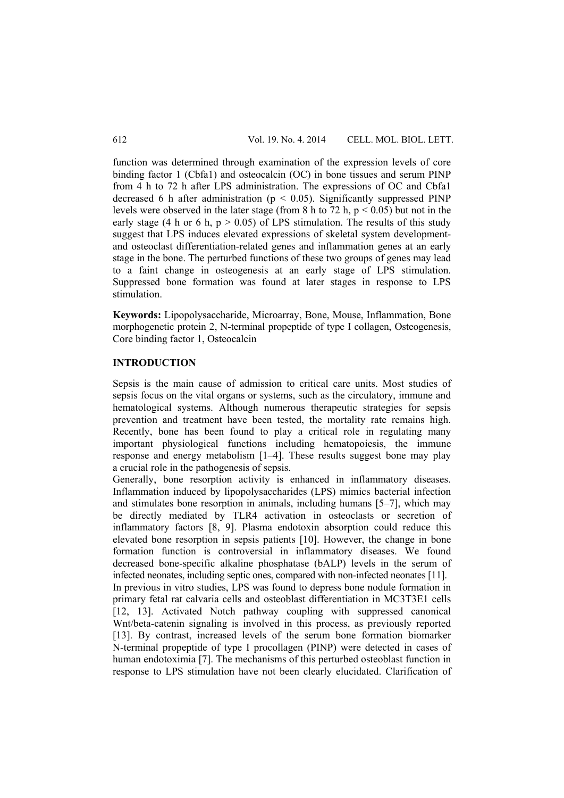function was determined through examination of the expression levels of core binding factor 1 (Cbfa1) and osteocalcin (OC) in bone tissues and serum PINP from 4 h to 72 h after LPS administration. The expressions of OC and Cbfa1 decreased 6 h after administration ( $p < 0.05$ ). Significantly suppressed PINP levels were observed in the later stage (from 8 h to 72 h,  $p < 0.05$ ) but not in the early stage (4 h or 6 h,  $p > 0.05$ ) of LPS stimulation. The results of this study suggest that LPS induces elevated expressions of skeletal system developmentand osteoclast differentiation-related genes and inflammation genes at an early stage in the bone. The perturbed functions of these two groups of genes may lead to a faint change in osteogenesis at an early stage of LPS stimulation. Suppressed bone formation was found at later stages in response to LPS stimulation.

**Keywords:** Lipopolysaccharide, Microarray, Bone, Mouse, Inflammation, Bone morphogenetic protein 2, N-terminal propeptide of type I collagen, Osteogenesis, Core binding factor 1, Osteocalcin

## **INTRODUCTION**

Sepsis is the main cause of admission to critical care units. Most studies of sepsis focus on the vital organs or systems, such as the circulatory, immune and hematological systems. Although numerous therapeutic strategies for sepsis prevention and treatment have been tested, the mortality rate remains high. Recently, bone has been found to play a critical role in regulating many important physiological functions including hematopoiesis, the immune response and energy metabolism [1–4]. These results suggest bone may play a crucial role in the pathogenesis of sepsis.

Generally, bone resorption activity is enhanced in inflammatory diseases. Inflammation induced by lipopolysaccharides (LPS) mimics bacterial infection and stimulates bone resorption in animals, including humans [5–7], which may be directly mediated by TLR4 activation in osteoclasts or secretion of inflammatory factors [8, 9]. Plasma endotoxin absorption could reduce this elevated bone resorption in sepsis patients [10]. However, the change in bone formation function is controversial in inflammatory diseases. We found decreased bone-specific alkaline phosphatase (bALP) levels in the serum of infected neonates, including septic ones, compared with non-infected neonates [11]. In previous in vitro studies, LPS was found to depress bone nodule formation in primary fetal rat calvaria cells and osteoblast differentiation in MC3T3E1 cells [12, 13]. Activated Notch pathway coupling with suppressed canonical Wnt/beta-catenin signaling is involved in this process, as previously reported [13]. By contrast, increased levels of the serum bone formation biomarker N-terminal propeptide of type I procollagen (PINP) were detected in cases of human endotoximia [7]. The mechanisms of this perturbed osteoblast function in response to LPS stimulation have not been clearly elucidated. Clarification of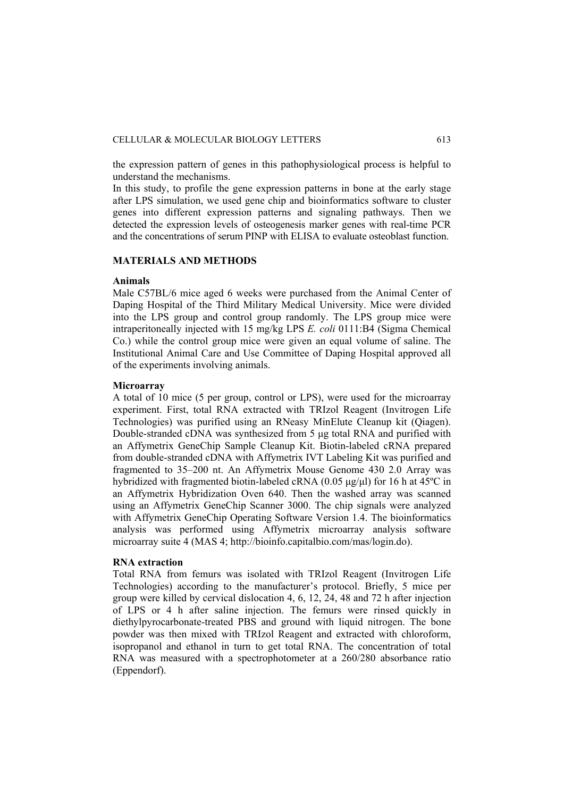the expression pattern of genes in this pathophysiological process is helpful to understand the mechanisms.

In this study, to profile the gene expression patterns in bone at the early stage after LPS simulation, we used gene chip and bioinformatics software to cluster genes into different expression patterns and signaling pathways. Then we detected the expression levels of osteogenesis marker genes with real-time PCR and the concentrations of serum PINP with ELISA to evaluate osteoblast function.

#### **MATERIALS AND METHODS**

#### **Animals**

Male C57BL/6 mice aged 6 weeks were purchased from the Animal Center of Daping Hospital of the Third Military Medical University. Mice were divided into the LPS group and control group randomly. The LPS group mice were intraperitoneally injected with 15 mg/kg LPS *E. coli* 0111:B4 (Sigma Chemical Co.) while the control group mice were given an equal volume of saline. The Institutional Animal Care and Use Committee of Daping Hospital approved all of the experiments involving animals.

## **Microarray**

A total of 10 mice (5 per group, control or LPS), were used for the microarray experiment. First, total RNA extracted with TRIzol Reagent (Invitrogen Life Technologies) was purified using an RNeasy MinElute Cleanup kit (Qiagen). Double-stranded cDNA was synthesized from 5 μg total RNA and purified with an Affymetrix GeneChip Sample Cleanup Kit. Biotin-labeled cRNA prepared from double-stranded cDNA with Affymetrix IVT Labeling Kit was purified and fragmented to 35–200 nt. An Affymetrix Mouse Genome 430 2.0 Array was hybridized with fragmented biotin-labeled cRNA (0.05 μg/μl) for 16 h at 45ºC in an Affymetrix Hybridization Oven 640. Then the washed array was scanned using an Affymetrix GeneChip Scanner 3000. The chip signals were analyzed with Affymetrix GeneChip Operating Software Version 1.4. The bioinformatics analysis was performed using Affymetrix microarray analysis software microarray suite 4 (MAS 4; http://bioinfo.capitalbio.com/mas/login.do).

## **RNA extraction**

Total RNA from femurs was isolated with TRIzol Reagent (Invitrogen Life Technologies) according to the manufacturer's protocol. Briefly, 5 mice per group were killed by cervical dislocation 4, 6, 12, 24, 48 and 72 h after injection of LPS or 4 h after saline injection. The femurs were rinsed quickly in diethylpyrocarbonate-treated PBS and ground with liquid nitrogen. The bone powder was then mixed with TRIzol Reagent and extracted with chloroform, isopropanol and ethanol in turn to get total RNA. The concentration of total RNA was measured with a spectrophotometer at a 260/280 absorbance ratio (Eppendorf).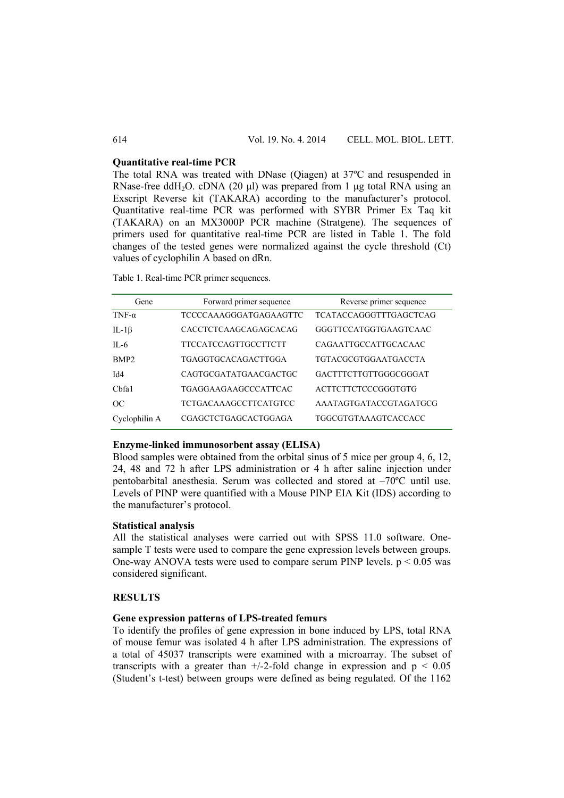#### **Quantitative real-time PCR**

The total RNA was treated with DNase (Qiagen) at 37ºC and resuspended in RNase-free ddH<sub>2</sub>O. cDNA (20 μl) was prepared from 1 μg total RNA using an Exscript Reverse kit (TAKARA) according to the manufacturer's protocol. Quantitative real-time PCR was performed with SYBR Primer Ex Taq kit (TAKARA) on an MX3000P PCR machine (Stratgene). The sequences of primers used for quantitative real-time PCR are listed in Table 1. The fold changes of the tested genes were normalized against the cycle threshold (Ct) values of cyclophilin A based on dRn.

Table 1. Real-time PCR primer sequences.

| Gene             | Forward primer sequence | Reverse primer sequence       |  |
|------------------|-------------------------|-------------------------------|--|
| TNF- $\alpha$    | TCCCCAAAGGGATGAGAAGTTC  | <b>TCATACCAGGGTTTGAGCTCAG</b> |  |
| IL-1 $\beta$     | CACCTCTCAAGCAGAGCACAG   | GGGTTCCATGGTGAAGTCAAC         |  |
| $IL-6$           | TTCCATCCAGTTGCCTTCTT    | CAGAATTGCCATTGCACAAC          |  |
| BMP <sub>2</sub> | TGAGGTGCACAGACTTGGA     | TGTACGCGTGGAATGACCTA          |  |
| Id4              | CAGTGCGATATGAACGACTGC   | GACTTTCTTGTTGGGCGGGAT         |  |
| Chfa1            | TGAGGAAGAAGCCCATTCAC    | ACTTCTTCTCCCGGGTGTG           |  |
| OC               | TCTGACAAAGCCTTCATGTCC   | AAATAGTGATACCGTAGATGCG        |  |
| Cyclophilin A    | CGAGCTCTGAGCACTGGAGA    | TGGCGTGTAAAGTCACCACC          |  |

#### **Enzyme-linked immunosorbent assay (ELISA)**

Blood samples were obtained from the orbital sinus of 5 mice per group 4, 6, 12, 24, 48 and 72 h after LPS administration or 4 h after saline injection under pentobarbital anesthesia. Serum was collected and stored at –70ºC until use. Levels of PINP were quantified with a Mouse PINP EIA Kit (IDS) according to the manufacturer's protocol.

#### **Statistical analysis**

All the statistical analyses were carried out with SPSS 11.0 software. Onesample T tests were used to compare the gene expression levels between groups. One-way ANOVA tests were used to compare serum PINP levels.  $p < 0.05$  was considered significant.

## **RESULTS**

# **Gene expression patterns of LPS-treated femurs**

To identify the profiles of gene expression in bone induced by LPS, total RNA of mouse femur was isolated 4 h after LPS administration. The expressions of a total of 45037 transcripts were examined with a microarray. The subset of transcripts with a greater than  $+/-2$ -fold change in expression and  $p < 0.05$ (Student's t-test) between groups were defined as being regulated. Of the 1162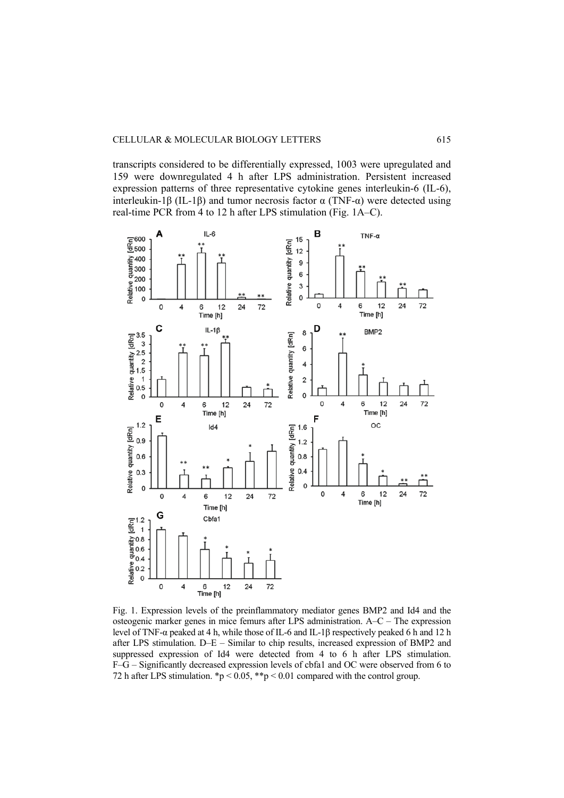transcripts considered to be differentially expressed, 1003 were upregulated and 159 were downregulated 4 h after LPS administration. Persistent increased expression patterns of three representative cytokine genes interleukin-6 (IL-6), interleukin-1β (IL-1β) and tumor necrosis factor α (TNF-α) were detected using real-time PCR from 4 to 12 h after LPS stimulation (Fig. 1A–C).



Fig. 1. Expression levels of the preinflammatory mediator genes BMP2 and Id4 and the osteogenic marker genes in mice femurs after LPS administration. A–C – The expression level of TNF-α peaked at 4 h, while those of IL-6 and IL-1β respectively peaked 6 h and 12 h after LPS stimulation. D–E – Similar to chip results, increased expression of BMP2 and suppressed expression of Id4 were detected from 4 to 6 h after LPS stimulation. F–G – Significantly decreased expression levels of cbfa1 and OC were observed from 6 to 72 h after LPS stimulation.  $\mathbf{p} < 0.05$ ,  $\mathbf{p} < 0.01$  compared with the control group.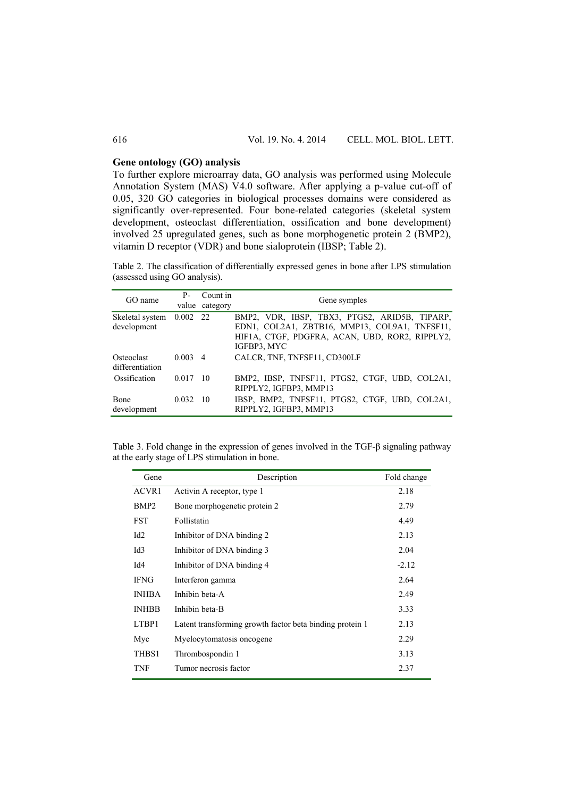## **Gene ontology (GO) analysis**

To further explore microarray data, GO analysis was performed using Molecule Annotation System (MAS) V4.0 software. After applying a p-value cut-off of 0.05, 320 GO categories in biological processes domains were considered as significantly over-represented. Four bone-related categories (skeletal system development, osteoclast differentiation, ossification and bone development) involved 25 upregulated genes, such as bone morphogenetic protein 2 (BMP2), vitamin D receptor (VDR) and bone sialoprotein (IBSP; Table 2).

Table 2. The classification of differentially expressed genes in bone after LPS stimulation (assessed using GO analysis).

| GO name                                 | $P-$             | Count in<br>value category | Gene symples                                                                                                                                                    |
|-----------------------------------------|------------------|----------------------------|-----------------------------------------------------------------------------------------------------------------------------------------------------------------|
| Skeletal system 0.002 22<br>development |                  |                            | BMP2, VDR, IBSP, TBX3, PTGS2, ARID5B, TIPARP,<br>EDN1, COL2A1, ZBTB16, MMP13, COL9A1, TNFSF11,<br>HIF1A, CTGF, PDGFRA, ACAN, UBD, ROR2, RIPPLY2,<br>IGFBP3, MYC |
| Osteoclast<br>differentiation           | $0.003 \quad 4$  |                            | CALCR, TNF, TNFSF11, CD300LF                                                                                                                                    |
| Ossification                            | $0.017$ 10       |                            | BMP2, IBSP, TNFSF11, PTGS2, CTGF, UBD, COL2A1,<br>RIPPLY2, IGFBP3, MMP13                                                                                        |
| <b>B</b> one<br>development             | $0.032 \quad 10$ |                            | IBSP, BMP2, TNFSF11, PTGS2, CTGF, UBD, COL2A1,<br>RIPPLY2, IGFBP3, MMP13                                                                                        |

Table 3. Fold change in the expression of genes involved in the TGF-β signaling pathway at the early stage of LPS stimulation in bone.

| Gene             | Description                                              | Fold change |
|------------------|----------------------------------------------------------|-------------|
| ACVR1            | Activin A receptor, type 1                               | 2.18        |
| BMP <sub>2</sub> | Bone morphogenetic protein 2                             | 2.79        |
| <b>FST</b>       | Follistatin                                              | 4.49        |
| Id <sub>2</sub>  | Inhibitor of DNA binding 2                               | 2.13        |
| Id <sub>3</sub>  | Inhibitor of DNA binding 3                               | 2.04        |
| Id4              | Inhibitor of DNA binding 4                               | $-2.12$     |
| <b>IFNG</b>      | Interferon gamma                                         | 2.64        |
| <b>INHBA</b>     | Inhibin beta-A                                           | 2.49        |
| <b>INHBB</b>     | Inhibin beta-B                                           | 3.33        |
| LTBP1            | Latent transforming growth factor beta binding protein 1 | 2.13        |
| Myc              | Myelocytomatosis oncogene.                               | 2.29        |
| THBS1            | Thrombospondin 1                                         | 3.13        |
| <b>TNF</b>       | Tumor necrosis factor                                    | 2.37        |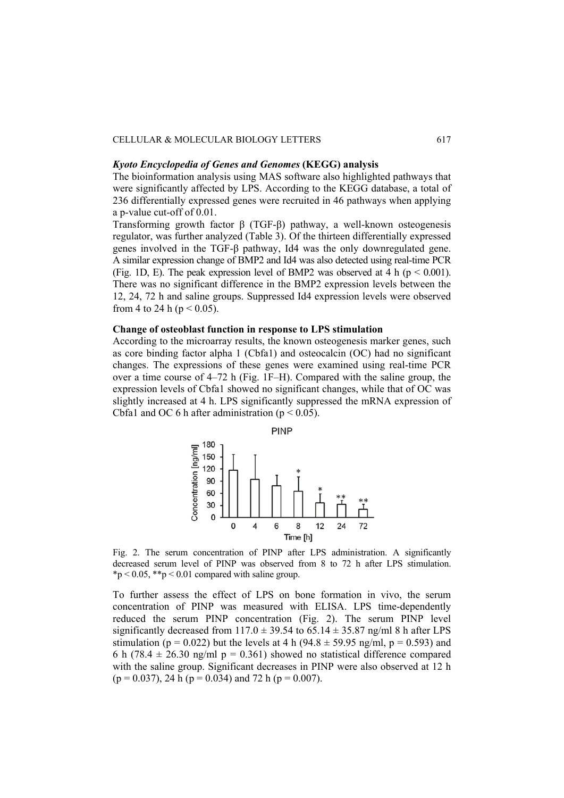## CELLULAR & MOLECULAR BIOLOGY LETTERS 617

## *Kyoto Encyclopedia of Genes and Genomes* **(KEGG) analysis**

The bioinformation analysis using MAS software also highlighted pathways that were significantly affected by LPS. According to the KEGG database, a total of 236 differentially expressed genes were recruited in 46 pathways when applying a p-value cut-off of 0.01.

Transforming growth factor β (TGF-β) pathway, a well-known osteogenesis regulator, was further analyzed (Table 3). Of the thirteen differentially expressed genes involved in the TGF-β pathway, Id4 was the only downregulated gene. A similar expression change of BMP2 and Id4 was also detected using real-time PCR (Fig. 1D, E). The peak expression level of BMP2 was observed at 4 h ( $p < 0.001$ ). There was no significant difference in the BMP2 expression levels between the 12, 24, 72 h and saline groups. Suppressed Id4 expression levels were observed from 4 to 24 h ( $p < 0.05$ ).

## **Change of osteoblast function in response to LPS stimulation**

According to the microarray results, the known osteogenesis marker genes, such as core binding factor alpha 1 (Cbfa1) and osteocalcin (OC) had no significant changes. The expressions of these genes were examined using real-time PCR over a time course of 4–72 h (Fig. 1F–H). Compared with the saline group, the expression levels of Cbfa1 showed no significant changes, while that of OC was slightly increased at 4 h. LPS significantly suppressed the mRNA expression of Cbfa1 and OC 6 h after administration ( $p < 0.05$ ).



Fig. 2. The serum concentration of PINP after LPS administration. A significantly decreased serum level of PINP was observed from 8 to 72 h after LPS stimulation.  $*p < 0.05$ ,  $* p < 0.01$  compared with saline group.

To further assess the effect of LPS on bone formation in vivo, the serum concentration of PINP was measured with ELISA. LPS time-dependently reduced the serum PINP concentration (Fig. 2). The serum PINP level significantly decreased from  $117.0 \pm 39.54$  to 65.14  $\pm 35.87$  ng/ml 8 h after LPS stimulation (p = 0.022) but the levels at 4 h (94.8  $\pm$  59.95 ng/ml, p = 0.593) and 6 h (78.4  $\pm$  26.30 ng/ml p = 0.361) showed no statistical difference compared with the saline group. Significant decreases in PINP were also observed at 12 h  $(p = 0.037)$ , 24 h  $(p = 0.034)$  and 72 h  $(p = 0.007)$ .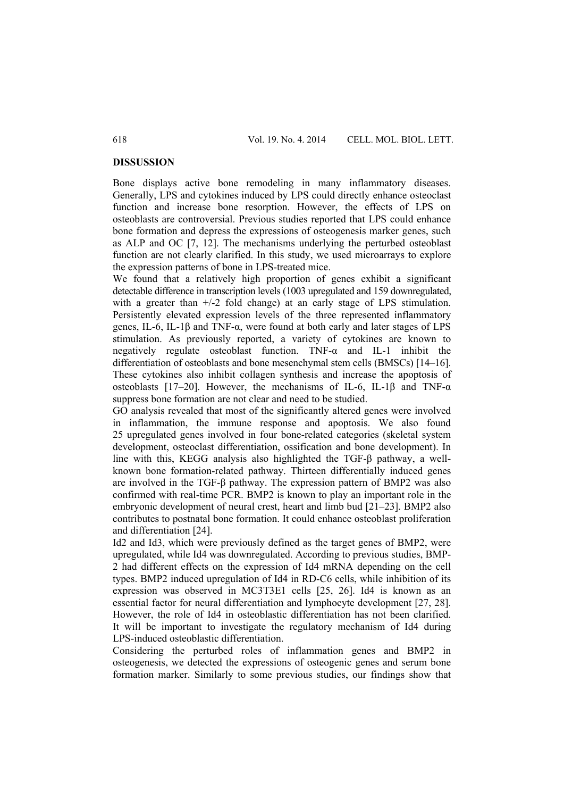#### **DISSUSSION**

Bone displays active bone remodeling in many inflammatory diseases. Generally, LPS and cytokines induced by LPS could directly enhance osteoclast function and increase bone resorption. However, the effects of LPS on osteoblasts are controversial. Previous studies reported that LPS could enhance bone formation and depress the expressions of osteogenesis marker genes, such as ALP and OC [7, 12]. The mechanisms underlying the perturbed osteoblast function are not clearly clarified. In this study, we used microarrays to explore the expression patterns of bone in LPS-treated mice.

We found that a relatively high proportion of genes exhibit a significant detectable difference in transcription levels (1003 upregulated and 159 downregulated, with a greater than  $+/2$  fold change) at an early stage of LPS stimulation. Persistently elevated expression levels of the three represented inflammatory genes, IL-6, IL-1β and TNF-α, were found at both early and later stages of LPS stimulation. As previously reported, a variety of cytokines are known to negatively regulate osteoblast function. TNF-α and IL-1 inhibit the differentiation of osteoblasts and bone mesenchymal stem cells (BMSCs) [14–16]. These cytokines also inhibit collagen synthesis and increase the apoptosis of osteoblasts [17–20]. However, the mechanisms of IL-6, IL-1 $\beta$  and TNF- $\alpha$ suppress bone formation are not clear and need to be studied.

GO analysis revealed that most of the significantly altered genes were involved in inflammation, the immune response and apoptosis. We also found 25 upregulated genes involved in four bone-related categories (skeletal system development, osteoclast differentiation, ossification and bone development). In line with this, KEGG analysis also highlighted the TGF-β pathway, a wellknown bone formation-related pathway. Thirteen differentially induced genes are involved in the TGF-β pathway. The expression pattern of BMP2 was also confirmed with real-time PCR. BMP2 is known to play an important role in the embryonic development of neural crest, heart and limb bud [21–23]. BMP2 also contributes to postnatal bone formation. It could enhance osteoblast proliferation and differentiation [24].

Id2 and Id3, which were previously defined as the target genes of BMP2, were upregulated, while Id4 was downregulated. According to previous studies, BMP-2 had different effects on the expression of Id4 mRNA depending on the cell types. BMP2 induced upregulation of Id4 in RD-C6 cells, while inhibition of its expression was observed in MC3T3E1 cells [25, 26]. Id4 is known as an essential factor for neural differentiation and lymphocyte development [27, 28]. However, the role of Id4 in osteoblastic differentiation has not been clarified. It will be important to investigate the regulatory mechanism of Id4 during LPS-induced osteoblastic differentiation.

Considering the perturbed roles of inflammation genes and BMP2 in osteogenesis, we detected the expressions of osteogenic genes and serum bone formation marker. Similarly to some previous studies, our findings show that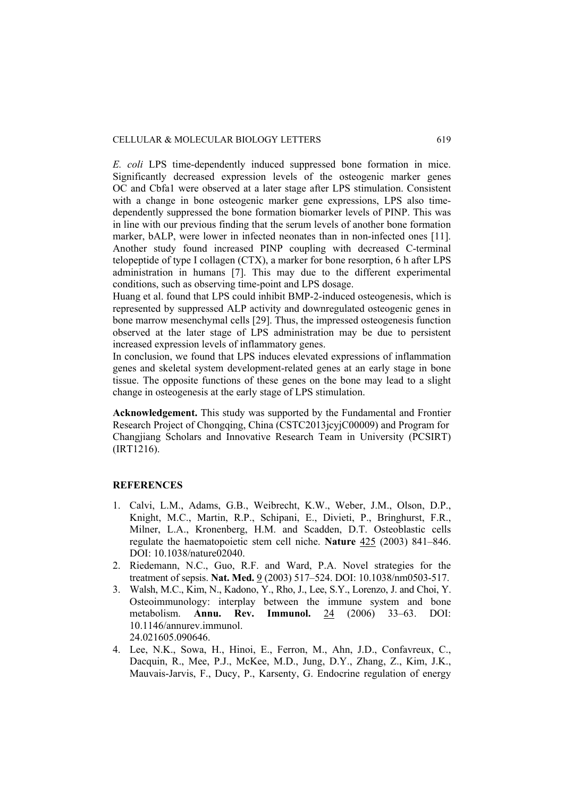*E. coli* LPS time-dependently induced suppressed bone formation in mice. Significantly decreased expression levels of the osteogenic marker genes OC and Cbfa1 were observed at a later stage after LPS stimulation. Consistent with a change in bone osteogenic marker gene expressions, LPS also timedependently suppressed the bone formation biomarker levels of PINP. This was in line with our previous finding that the serum levels of another bone formation marker, bALP, were lower in infected neonates than in non-infected ones [11]. Another study found increased PINP coupling with decreased C-terminal telopeptide of type I collagen (CTX), a marker for bone resorption, 6 h after LPS administration in humans [7]. This may due to the different experimental conditions, such as observing time-point and LPS dosage.

Huang et al. found that LPS could inhibit BMP-2-induced osteogenesis, which is represented by suppressed ALP activity and downregulated osteogenic genes in bone marrow mesenchymal cells [29]. Thus, the impressed osteogenesis function observed at the later stage of LPS administration may be due to persistent increased expression levels of inflammatory genes.

In conclusion, we found that LPS induces elevated expressions of inflammation genes and skeletal system development-related genes at an early stage in bone tissue. The opposite functions of these genes on the bone may lead to a slight change in osteogenesis at the early stage of LPS stimulation.

**Acknowledgement.** This study was supported by the Fundamental and Frontier Research Project of Chongqing, China (CSTC2013jcyjC00009) and Program for Changjiang Scholars and Innovative Research Team in University (PCSIRT) (IRT1216).

## **REFERENCES**

- 1. Calvi, L.M., Adams, G.B., Weibrecht, K.W., Weber, J.M., Olson, D.P., Knight, M.C., Martin, R.P., Schipani, E., Divieti, P., Bringhurst, F.R., Milner, L.A., Kronenberg, H.M. and Scadden, D.T. Osteoblastic cells regulate the haematopoietic stem cell niche. **Nature** 425 (2003) 841–846. DOI: 10.1038/nature02040.
- 2. Riedemann, N.C., Guo, R.F. and Ward, P.A. Novel strategies for the treatment of sepsis. **Nat. Med.** 9 (2003) 517–524. DOI: 10.1038/nm0503-517.
- 3. Walsh, M.C., Kim, N., Kadono, Y., Rho, J., Lee, S.Y., Lorenzo, J. and Choi, Y. Osteoimmunology: interplay between the immune system and bone metabolism. **Annu. Rev. Immunol.** 24 (2006) 33–63. DOI: 10.1146/annurev.immunol. 24.021605.090646.
- 4. Lee, N.K., Sowa, H., Hinoi, E., Ferron, M., Ahn, J.D., Confavreux, C., Dacquin, R., Mee, P.J., McKee, M.D., Jung, D.Y., Zhang, Z., Kim, J.K., Mauvais-Jarvis, F., Ducy, P., Karsenty, G. Endocrine regulation of energy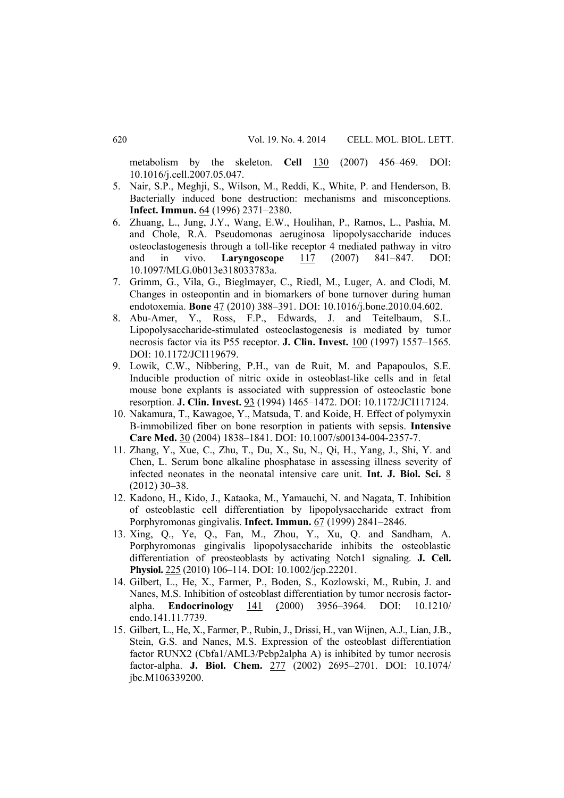metabolism by the skeleton. **Cell** 130 (2007) 456–469. DOI: 10.1016/j.cell.2007.05.047.

- 5. Nair, S.P., Meghji, S., Wilson, M., Reddi, K., White, P. and Henderson, B. Bacterially induced bone destruction: mechanisms and misconceptions. **Infect. Immun.** 64 (1996) 2371–2380.
- 6. Zhuang, L., Jung, J.Y., Wang, E.W., Houlihan, P., Ramos, L., Pashia, M. and Chole, R.A. Pseudomonas aeruginosa lipopolysaccharide induces osteoclastogenesis through a toll-like receptor 4 mediated pathway in vitro and in vivo. **Laryngoscope** 117 (2007) 841–847. DOI: 10.1097/MLG.0b013e318033783a.
- 7. Grimm, G., Vila, G., Bieglmayer, C., Riedl, M., Luger, A. and Clodi, M. Changes in osteopontin and in biomarkers of bone turnover during human endotoxemia. **Bone** 47 (2010) 388–391. DOI: 10.1016/j.bone.2010.04.602.
- 8. Abu-Amer, Y., Ross, F.P., Edwards, J. and Teitelbaum, S.L. Lipopolysaccharide-stimulated osteoclastogenesis is mediated by tumor necrosis factor via its P55 receptor. **J. Clin. Invest.** 100 (1997) 1557–1565. DOI: 10.1172/JCI119679.
- 9. Lowik, C.W., Nibbering, P.H., van de Ruit, M. and Papapoulos, S.E. Inducible production of nitric oxide in osteoblast-like cells and in fetal mouse bone explants is associated with suppression of osteoclastic bone resorption. **J. Clin. Invest.** 93 (1994) 1465–1472. DOI: 10.1172/JCI117124.
- 10. Nakamura, T., Kawagoe, Y., Matsuda, T. and Koide, H. Effect of polymyxin B-immobilized fiber on bone resorption in patients with sepsis. **Intensive Care Med.** 30 (2004) 1838–1841. DOI: 10.1007/s00134-004-2357-7.
- 11. Zhang, Y., Xue, C., Zhu, T., Du, X., Su, N., Qi, H., Yang, J., Shi, Y. and Chen, L. Serum bone alkaline phosphatase in assessing illness severity of infected neonates in the neonatal intensive care unit. **Int. J. Biol. Sci.** 8 (2012) 30–38.
- 12. Kadono, H., Kido, J., Kataoka, M., Yamauchi, N. and Nagata, T. Inhibition of osteoblastic cell differentiation by lipopolysaccharide extract from Porphyromonas gingivalis. **Infect. Immun.** 67 (1999) 2841–2846.
- 13. Xing, Q., Ye, Q., Fan, M., Zhou, Y., Xu, Q. and Sandham, A. Porphyromonas gingivalis lipopolysaccharide inhibits the osteoblastic differentiation of preosteoblasts by activating Notch1 signaling. **J. Cell. Physiol.** 225 (2010) 106–114. DOI: 10.1002/jcp.22201.
- 14. Gilbert, L., He, X., Farmer, P., Boden, S., Kozlowski, M., Rubin, J. and Nanes, M.S. Inhibition of osteoblast differentiation by tumor necrosis factoralpha. **Endocrinology** 141 (2000) 3956–3964. DOI: 10.1210/ endo.141.11.7739.
- 15. Gilbert, L., He, X., Farmer, P., Rubin, J., Drissi, H., van Wijnen, A.J., Lian, J.B., Stein, G.S. and Nanes, M.S. Expression of the osteoblast differentiation factor RUNX2 (Cbfa1/AML3/Pebp2alpha A) is inhibited by tumor necrosis factor-alpha. **J. Biol. Chem.** 277 (2002) 2695–2701. DOI: 10.1074/ jbc.M106339200.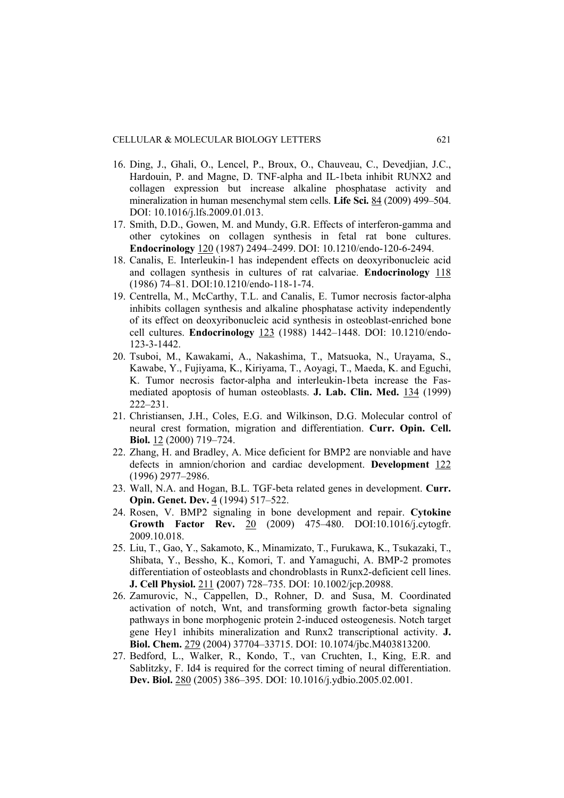- 16. Ding, J., Ghali, O., Lencel, P., Broux, O., Chauveau, C., Devedjian, J.C., Hardouin, P. and Magne, D. TNF-alpha and IL-1beta inhibit RUNX2 and collagen expression but increase alkaline phosphatase activity and mineralization in human mesenchymal stem cells. **Life Sci.** 84 (2009) 499–504. DOI: 10.1016/j.lfs.2009.01.013.
- 17. Smith, D.D., Gowen, M. and Mundy, G.R. Effects of interferon-gamma and other cytokines on collagen synthesis in fetal rat bone cultures. **Endocrinology** 120 (1987) 2494–2499. DOI: 10.1210/endo-120-6-2494.
- 18. Canalis, E. Interleukin-1 has independent effects on deoxyribonucleic acid and collagen synthesis in cultures of rat calvariae. **Endocrinology** 118 (1986) 74–81. DOI:10.1210/endo-118-1-74.
- 19. Centrella, M., McCarthy, T.L. and Canalis, E. Tumor necrosis factor-alpha inhibits collagen synthesis and alkaline phosphatase activity independently of its effect on deoxyribonucleic acid synthesis in osteoblast-enriched bone cell cultures. **Endocrinology** 123 (1988) 1442–1448. DOI: 10.1210/endo-123-3-1442.
- 20. Tsuboi, M., Kawakami, A., Nakashima, T., Matsuoka, N., Urayama, S., Kawabe, Y., Fujiyama, K., Kiriyama, T., Aoyagi, T., Maeda, K. and Eguchi, K. Tumor necrosis factor-alpha and interleukin-1beta increase the Fasmediated apoptosis of human osteoblasts. **J. Lab. Clin. Med.** 134 (1999) 222–231.
- 21. Christiansen, J.H., Coles, E.G. and Wilkinson, D.G. Molecular control of neural crest formation, migration and differentiation. **Curr. Opin. Cell. Biol.** 12 (2000) 719–724.
- 22. Zhang, H. and Bradley, A. Mice deficient for BMP2 are nonviable and have defects in amnion/chorion and cardiac development. **Development** 122 (1996) 2977–2986.
- 23. Wall, N.A. and Hogan, B.L. TGF-beta related genes in development. **Curr. Opin. Genet. Dev.** 4 (1994) 517–522.
- 24. Rosen, V. BMP2 signaling in bone development and repair. **Cytokine Growth Factor Rev.** 20 (2009) 475–480. DOI:10.1016/j.cytogfr. 2009.10.018.
- 25. Liu, T., Gao, Y., Sakamoto, K., Minamizato, T., Furukawa, K., Tsukazaki, T., Shibata, Y., Bessho, K., Komori, T. and Yamaguchi, A. BMP-2 promotes differentiation of osteoblasts and chondroblasts in Runx2-deficient cell lines. **J. Cell Physiol.** 211 **(**2007) 728–735. DOI: 10.1002/jcp.20988.
- 26. Zamurovic, N., Cappellen, D., Rohner, D. and Susa, M. Coordinated activation of notch, Wnt, and transforming growth factor-beta signaling pathways in bone morphogenic protein 2-induced osteogenesis. Notch target gene Hey1 inhibits mineralization and Runx2 transcriptional activity. **J. Biol. Chem.** 279 (2004) 37704–33715. DOI: 10.1074/jbc.M403813200.
- 27. Bedford, L., Walker, R., Kondo, T., van Cruchten, I., King, E.R. and Sablitzky, F. Id4 is required for the correct timing of neural differentiation. **Dev. Biol.** 280 (2005) 386–395. DOI: 10.1016/j.ydbio.2005.02.001.